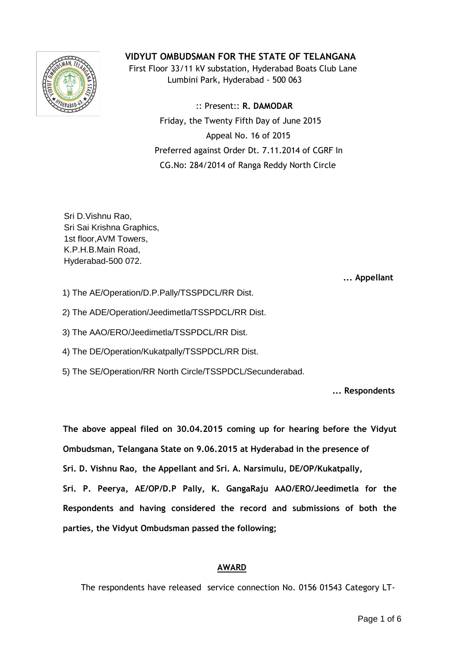

# **VIDYUT OMBUDSMAN FOR THE STATE OF TELANGANA**

 First Floor 33/11 kV substation, Hyderabad Boats Club Lane Lumbini Park, Hyderabad - 500 063

> :: Present:: **R. DAMODAR** Friday, the Twenty Fifth Day of June 2015 Appeal No. 16 of 2015 Preferred against Order Dt. 7.11.2014 of CGRF In CG.No: 284/2014 of Ranga Reddy North Circle

Sri D.Vishnu Rao, Sri Sai Krishna Graphics, 1st floor,AVM Towers, K.P.H.B.Main Road, Hyderabad-500 072.

 **... Appellant**

- 1) The AE/Operation/D.P.Pally/TSSPDCL/RR Dist.
- 2) The ADE/Operation/Jeedimetla/TSSPDCL/RR Dist.
- 3) The AAO/ERO/Jeedimetla/TSSPDCL/RR Dist.
- 4) The DE/Operation/Kukatpally/TSSPDCL/RR Dist.
- 5) The SE/Operation/RR North Circle/TSSPDCL/Secunderabad.

**... Respondents**

**The above appeal filed on 30.04.2015 coming up for hearing before the Vidyut Ombudsman, Telangana State on 9.06.2015 at Hyderabad in the presence of Sri. D. Vishnu Rao, the Appellant and Sri. A. Narsimulu, DE/OP/Kukatpally, Sri. P. Peerya, AE/OP/D.P Pally, K. GangaRaju AAO/ERO/Jeedimetla for the Respondents and having considered the record and submissions of both the parties, the Vidyut Ombudsman passed the following;**

### **AWARD**

The respondents have released service connection No. 0156 01543 Category LT-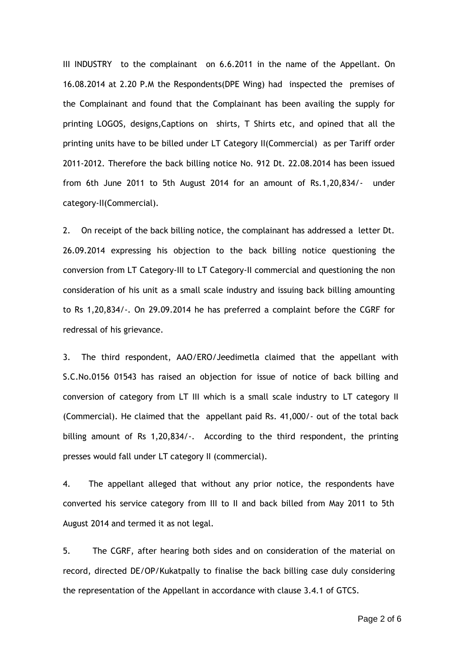III INDUSTRY to the complainant on 6.6.2011 in the name of the Appellant. On 16.08.2014 at 2.20 P.M the Respondents(DPE Wing) had inspected the premises of the Complainant and found that the Complainant has been availing the supply for printing LOGOS, designs,Captions on shirts, T Shirts etc, and opined that all the printing units have to be billed under LT Category II(Commercial) as per Tariff order 2011-2012. Therefore the back billing notice No. 912 Dt. 22.08.2014 has been issued from 6th June 2011 to 5th August 2014 for an amount of Rs.1,20,834/- under category-II(Commercial).

2. On receipt of the back billing notice, the complainant has addressed a letter Dt. 26.09.2014 expressing his objection to the back billing notice questioning the conversion from LT Category-III to LT Category-II commercial and questioning the non consideration of his unit as a small scale industry and issuing back billing amounting to Rs 1,20,834/-. On 29.09.2014 he has preferred a complaint before the CGRF for redressal of his grievance.

3. The third respondent, AAO/ERO/Jeedimetla claimed that the appellant with S.C.No.0156 01543 has raised an objection for issue of notice of back billing and conversion of category from LT III which is a small scale industry to LT category II (Commercial). He claimed that the appellant paid Rs. 41,000/- out of the total back billing amount of Rs 1,20,834/-. According to the third respondent, the printing presses would fall under LT category II (commercial).

4. The appellant alleged that without any prior notice, the respondents have converted his service category from III to II and back billed from May 2011 to 5th August 2014 and termed it as not legal.

5. The CGRF, after hearing both sides and on consideration of the material on record, directed DE/OP/Kukatpally to finalise the back billing case duly considering the representation of the Appellant in accordance with clause 3.4.1 of GTCS.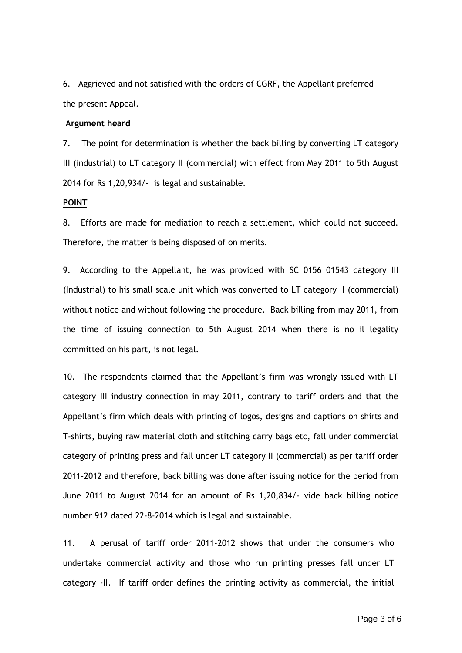6. Aggrieved and not satisfied with the orders of CGRF, the Appellant preferred the present Appeal.

#### **Argument heard**

7. The point for determination is whether the back billing by converting LT category III (industrial) to LT category II (commercial) with effect from May 2011 to 5th August 2014 for Rs 1,20,934/- is legal and sustainable.

#### **POINT**

8. Efforts are made for mediation to reach a settlement, which could not succeed. Therefore, the matter is being disposed of on merits.

9. According to the Appellant, he was provided with SC 0156 01543 category III (Industrial) to his small scale unit which was converted to LT category II (commercial) without notice and without following the procedure. Back billing from may 2011, from the time of issuing connection to 5th August 2014 when there is no il legality committed on his part, is not legal.

10. The respondents claimed that the Appellant's firm was wrongly issued with LT category III industry connection in may 2011, contrary to tariff orders and that the Appellant's firm which deals with printing of logos, designs and captions on shirts and T-shirts, buying raw material cloth and stitching carry bags etc, fall under commercial category of printing press and fall under LT category II (commercial) as per tariff order 2011-2012 and therefore, back billing was done after issuing notice for the period from June 2011 to August 2014 for an amount of Rs 1,20,834/- vide back billing notice number 912 dated 22-8-2014 which is legal and sustainable.

11. A perusal of tariff order 2011-2012 shows that under the consumers who undertake commercial activity and those who run printing presses fall under LT category -II. If tariff order defines the printing activity as commercial, the initial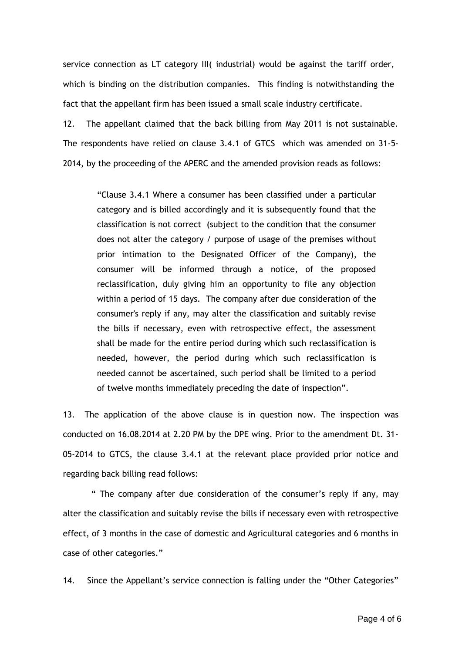service connection as LT category III( industrial) would be against the tariff order, which is binding on the distribution companies. This finding is notwithstanding the fact that the appellant firm has been issued a small scale industry certificate.

12. The appellant claimed that the back billing from May 2011 is not sustainable. The respondents have relied on clause 3.4.1 of GTCS which was amended on 31-5- 2014, by the proceeding of the APERC and the amended provision reads as follows:

> "Clause 3.4.1 Where a consumer has been classified under a particular category and is billed accordingly and it is subsequently found that the classification is not correct (subject to the condition that the consumer does not alter the category / purpose of usage of the premises without prior intimation to the Designated Officer of the Company), the consumer will be informed through a notice, of the proposed reclassification, duly giving him an opportunity to file any objection within a period of 15 days. The company after due consideration of the consumer's reply if any, may alter the classification and suitably revise the bills if necessary, even with retrospective effect, the assessment shall be made for the entire period during which such reclassification is needed, however, the period during which such reclassification is needed cannot be ascertained, such period shall be limited to a period of twelve months immediately preceding the date of inspection".

13. The application of the above clause is in question now. The inspection was conducted on 16.08.2014 at 2.20 PM by the DPE wing. Prior to the amendment Dt. 31- 05-2014 to GTCS, the clause 3.4.1 at the relevant place provided prior notice and regarding back billing read follows:

 " The company after due consideration of the consumer's reply if any, may alter the classification and suitably revise the bills if necessary even with retrospective effect, of 3 months in the case of domestic and Agricultural categories and 6 months in case of other categories."

14. Since the Appellant's service connection is falling under the "Other Categories"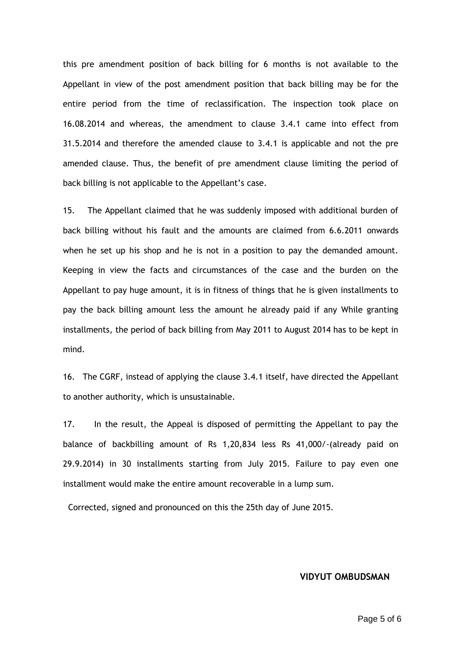this pre amendment position of back billing for 6 months is not available to the Appellant in view of the post amendment position that back billing may be for the entire period from the time of reclassification. The inspection took place on 16.08.2014 and whereas, the amendment to clause 3.4.1 came into effect from 31.5.2014 and therefore the amended clause to 3.4.1 is applicable and not the pre amended clause. Thus, the benefit of pre amendment clause limiting the period of back billing is not applicable to the Appellant's case.

15. The Appellant claimed that he was suddenly imposed with additional burden of back billing without his fault and the amounts are claimed from 6.6.2011 onwards when he set up his shop and he is not in a position to pay the demanded amount. Keeping in view the facts and circumstances of the case and the burden on the Appellant to pay huge amount, it is in fitness of things that he is given installments to pay the back billing amount less the amount he already paid if any While granting installments, the period of back billing from May 2011 to August 2014 has to be kept in mind.

16. The CGRF, instead of applying the clause 3.4.1 itself, have directed the Appellant to another authority, which is unsustainable.

17. In the result, the Appeal is disposed of permitting the Appellant to pay the balance of backbilling amount of Rs 1,20,834 less Rs 41,000/-(already paid on 29.9.2014) in 30 installments starting from July 2015. Failure to pay even one installment would make the entire amount recoverable in a lump sum.

Corrected, signed and pronounced on this the 25th day of June 2015.

#### **VIDYUT OMBUDSMAN**